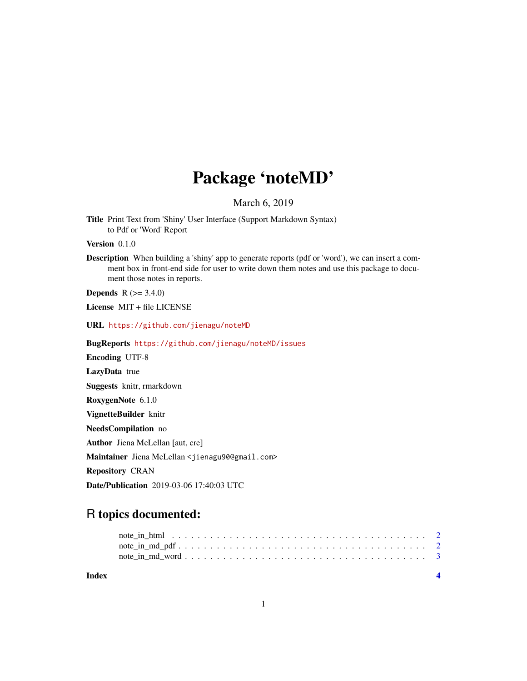## Package 'noteMD'

March 6, 2019

Title Print Text from 'Shiny' User Interface (Support Markdown Syntax) to Pdf or 'Word' Report

Version 0.1.0

Description When building a 'shiny' app to generate reports (pdf or 'word'), we can insert a comment box in front-end side for user to write down them notes and use this package to document those notes in reports.

**Depends** R  $(>= 3.4.0)$ 

License MIT + file LICENSE

URL <https://github.com/jienagu/noteMD>

BugReports <https://github.com/jienagu/noteMD/issues>

Encoding UTF-8

LazyData true

Suggests knitr, rmarkdown

RoxygenNote 6.1.0

VignetteBuilder knitr

NeedsCompilation no

Author Jiena McLellan [aut, cre]

Maintainer Jiena McLellan <jienagu90@gmail.com>

Repository CRAN

Date/Publication 2019-03-06 17:40:03 UTC

### R topics documented:

**Index** [4](#page-3-0)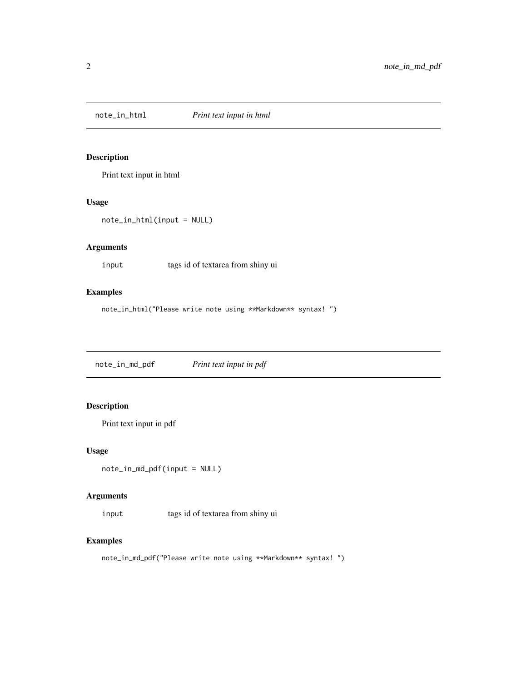<span id="page-1-0"></span>

#### Description

Print text input in html

#### Usage

note\_in\_html(input = NULL)

#### Arguments

input tags id of textarea from shiny ui

#### Examples

note\_in\_html("Please write note using \*\*Markdown\*\* syntax! ")

note\_in\_md\_pdf *Print text input in pdf*

#### Description

Print text input in pdf

#### Usage

note\_in\_md\_pdf(input = NULL)

#### Arguments

input tags id of textarea from shiny ui

#### Examples

note\_in\_md\_pdf("Please write note using \*\*Markdown\*\* syntax! ")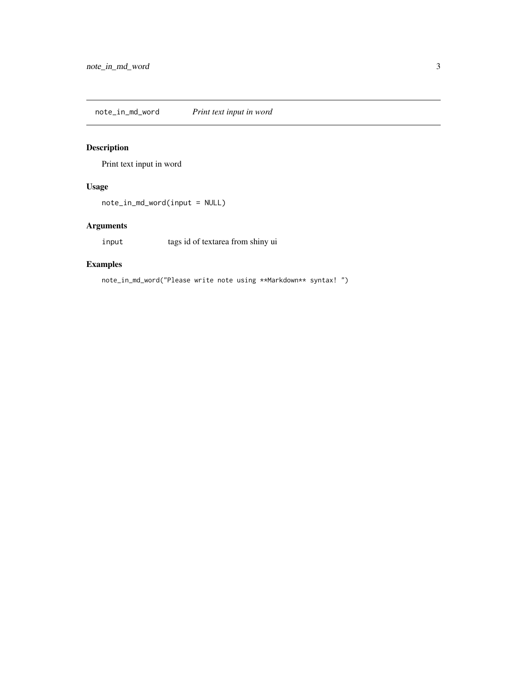<span id="page-2-0"></span>note\_in\_md\_word *Print text input in word*

#### Description

Print text input in word

#### Usage

note\_in\_md\_word(input = NULL)

#### Arguments

input tags id of textarea from shiny ui

#### Examples

note\_in\_md\_word("Please write note using \*\*Markdown\*\* syntax! ")